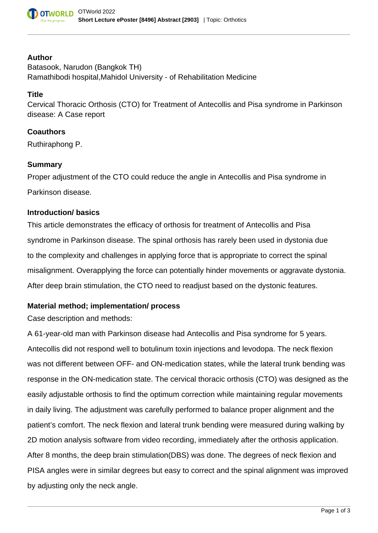

### **Author**

Batasook, Narudon (Bangkok TH) Ramathibodi hospital,Mahidol University - of Rehabilitation Medicine

## **Title**

Cervical Thoracic Orthosis (CTO) for Treatment of Antecollis and Pisa syndrome in Parkinson disease: A Case report

### **Coauthors**

Ruthiraphong P.

## **Summary**

Proper adjustment of the CTO could reduce the angle in Antecollis and Pisa syndrome in Parkinson disease.

### **Introduction/ basics**

This article demonstrates the efficacy of orthosis for treatment of Antecollis and Pisa syndrome in Parkinson disease. The spinal orthosis has rarely been used in dystonia due to the complexity and challenges in applying force that is appropriate to correct the spinal misalignment. Overapplying the force can potentially hinder movements or aggravate dystonia. After deep brain stimulation, the CTO need to readjust based on the dystonic features.

### **Material method; implementation/ process**

Case description and methods:

A 61-year-old man with Parkinson disease had Antecollis and Pisa syndrome for 5 years. Antecollis did not respond well to botulinum toxin injections and levodopa. The neck flexion was not different between OFF- and ON-medication states, while the lateral trunk bending was response in the ON-medication state. The cervical thoracic orthosis (CTO) was designed as the easily adjustable orthosis to find the optimum correction while maintaining regular movements in daily living. The adjustment was carefully performed to balance proper alignment and the patient's comfort. The neck flexion and lateral trunk bending were measured during walking by 2D motion analysis software from video recording, immediately after the orthosis application. After 8 months, the deep brain stimulation(DBS) was done. The degrees of neck flexion and PISA angles were in similar degrees but easy to correct and the spinal alignment was improved by adjusting only the neck angle.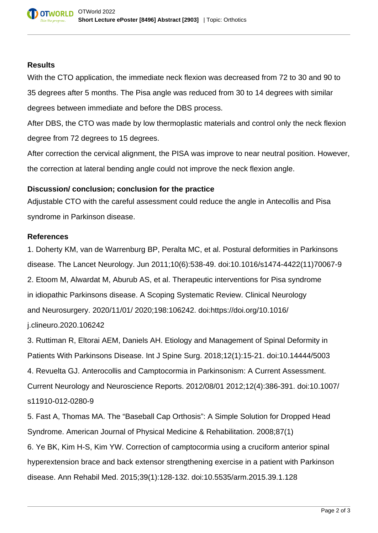# **Results**

With the CTO application, the immediate neck flexion was decreased from 72 to 30 and 90 to 35 degrees after 5 months. The Pisa angle was reduced from 30 to 14 degrees with similar degrees between immediate and before the DBS process.

After DBS, the CTO was made by low thermoplastic materials and control only the neck flexion degree from 72 degrees to 15 degrees.

After correction the cervical alignment, the PISA was improve to near neutral position. However, the correction at lateral bending angle could not improve the neck flexion angle.

# **Discussion/ conclusion; conclusion for the practice**

Adjustable CTO with the careful assessment could reduce the angle in Antecollis and Pisa syndrome in Parkinson disease.

# **References**

1. Doherty KM, van de Warrenburg BP, Peralta MC, et al. Postural deformities in Parkinsons disease. The Lancet Neurology. Jun 2011;10(6):538-49. doi:10.1016/s1474-4422(11)70067-9 2. Etoom M, Alwardat M, Aburub AS, et al. Therapeutic interventions for Pisa syndrome in idiopathic Parkinsons disease. A Scoping Systematic Review. Clinical Neurology and Neurosurgery. 2020/11/01/ 2020;198:106242. doi:https://doi.org/10.1016/ j.clineuro.2020.106242

3. Ruttiman R, Eltorai AEM, Daniels AH. Etiology and Management of Spinal Deformity in Patients With Parkinsons Disease. Int J Spine Surg. 2018;12(1):15-21. doi:10.14444/5003 4. Revuelta GJ. Anterocollis and Camptocormia in Parkinsonism: A Current Assessment. Current Neurology and Neuroscience Reports. 2012/08/01 2012;12(4):386-391. doi:10.1007/

# s11910-012-0280-9

5. Fast A, Thomas MA. The "Baseball Cap Orthosis": A Simple Solution for Dropped Head Syndrome. American Journal of Physical Medicine & Rehabilitation. 2008;87(1)

6. Ye BK, Kim H-S, Kim YW. Correction of camptocormia using a cruciform anterior spinal hyperextension brace and back extensor strengthening exercise in a patient with Parkinson disease. Ann Rehabil Med. 2015;39(1):128-132. doi:10.5535/arm.2015.39.1.128